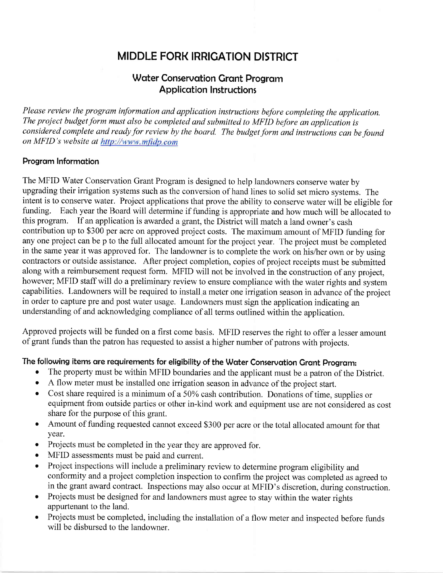# MIDDLE FORK IRRIGATION DISTRICT

# Water Conservation Grant Program Applicotion Instructions

Please review the program information and application instructions before completing the application. The project budget form must also be completed and submitted to MFID before an application is considered complete and ready for review by the board. The budget form and instructions can be found on MFID's website at http://www.mfidp.com

## Program Information

The MFID Water Conservation Grant Program is designed to help landowners conserve water by upgrading their irrigation systems such as the conversion of hand lines to solid set micro systems. The intent is to conserve water. Project applications that prove the ability to conserve water will be eligible for funding. Each year the Board will determine if funding is appropriate and how much will be allocated to this program. If an application is awarded a grant, the District will match a land owner's cash contribution up to \$300 per acre on approved project costs. The maximum amount of MFID funding for any one project can be p to the full allocated amount for the project year. The project must be completed in the same year it was approved for. The landowner is to complete the work on his/her own or by using contractors or outside assistance. After project completion, copies of project receipts must be submitted along with a reimbursement request form. MFID will not be involved in the construction of any project, however; MFID staff will do a preliminary review to ensure compliance with the water rights and system capabilities. Landowners will be required to install a meter one irrigation season in advance of the project in order to capture pre and post water usage. Landowners must sign the application indicating an understanding of and acknowledging compliance of all terms outlined within the application.

Approved projects will be funded on a first come basis. MFID reserves the right to offer a lesser amount of grant funds than the patron has requested to assist a higher number of patrons with projects.

## The following items are requirements for eligibility of the Water Conservation Grant Program:

- o The property must be within MFID boundaries and the applicant must be a patron of the District.
- A flow meter must be installed one irrigation season in advance of the project start.
- o Cost share required is a minimum of a 50Yo cash contribution. Donations of time, supplies or equipment from outside parties or other in-kind work and equipment use are not considered as cost share for the purpose of this grant.
- o Amount of funding requested cannot exceed \$300 per acre or the total allocated amount for that yeat.
- o Projects must be completed in the year they are approved for.
- MFID assessments must be paid and current.
- Project inspections will include a preliminary review to determine program eligibility and conformity and a project completion inspection to confirm the project was completed as agreed to in the grant award contract. Inspections may also occur at MFID's discretion, during construction.
- Projects must be designed for and landowners must agree to stay within the water rights appurtenant to the land.
- o Projects must be completed, including the installation of a flow meter and inspected before funds will be disbursed to the landowner.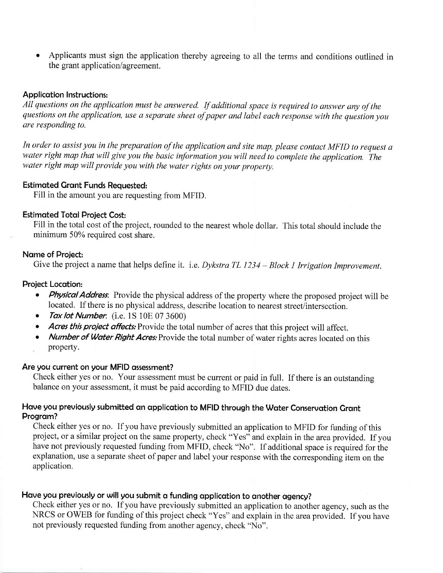Applicants must sign the application thereby agreeing to all the terms and conditions outlined in the grant application/agreement.

#### Applicotion Instructions:

All questions on the application must be answered. If additional space is required to answer any of the questions on the application, use a separate sheet of paper and label each response with the question you are responding to.

In order to assist you in the preparation of the application and site map, please contact MFID to request <sup>a</sup> water right map that will give you the basic information you will need to complete the application. The water right map will provide you with the water rights on your property.

#### Estimqted Gront Funds Requested:

Fill in the amount you are requesting from MFID.

## **Estimated Total Project Cost:**

Fill in the total cost of the project, rounded to the nearest whole dollar. This total should include the minimum 50% required cost share.

#### Name of Project:

Give the project a name that helps define it. i.e. Dykstra TL 1234 – Block 1 Irrigation Improvement.

#### Project Locotion:

- Physical Address. Provide the physical address of the property where the proposed project will be located. If there is no physical address, describe location to nearest street/intersection.
- Tax lot Number. (i.e.  $1S$   $10E$   $07$   $3600$ )
- Acres this project affects: Provide the total number of acres that this project will affect.
- Number of Water Right Acres: Provide the total number of water rights acres located on this property.

#### Are you current on your MFID ossessment?

Check either yes or no. Your assessment must be current or paid in full. If there is an outstanding balance on your assessment, it must be paid according to MFID due dates.

# Have you previously submitted an application to MFID through the Water Conservation Grant Program?

Check either yes or no. If you have previously submitted an application to MFID for funding of this project, or a similar project on the same property, check "Yes" and explain in the area provided. If you have not previously requested funding from MFID, check "No". If additional space is required for the explanation, use a separate sheet of paper and label your response with the corresponding item on the application.

# Have you previously or will you submit a funding application to another agency?

Check either yes or no. If you have previously submitted an application to another agency, such as the NRCS or OWEB for funding of this project check "Yes" and explain in the area provided. If you have not previously requested funding from another agency, check'No".